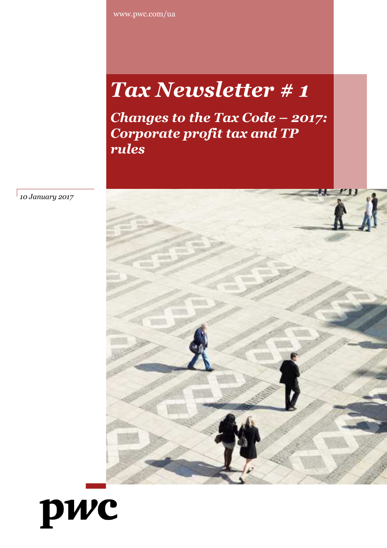www.pwc.com/ua

# *Tax Newsletter # 1*

*Changes to the Tax Code – 2017: Corporate profit tax and TP rules*



*10 January 2017*

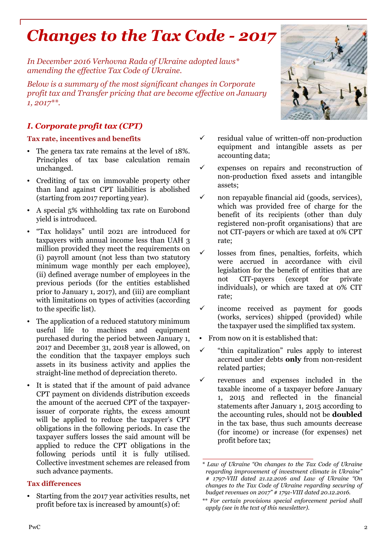## *Changes to the Tax Code - 2017*

*In December 2016 Verhovna Rada of Ukraine adopted laws\* amending the effective Tax Code of Ukraine.*

*Below is a summary of the most significant changes in Corporate profit tax and Transfer pricing that are become effective on January 1, 2017\*\*.*

#### *I. Corporate profit tax (CPT)*

#### **Tax rate, incentives and benefits**

- The genera tax rate remains at the level of 18%. Principles of tax base calculation remain unchanged.
- Crediting of tax on immovable property other than land against CPT liabilities is abolished (starting from 2017 reporting year).
- A special 5% withholding tax rate on Eurobond yield is introduced.
- "Tax holidays" until 2021 are introduced for taxpayers with annual income less than UAH 3 million provided they meet the requirements on (i) payroll amount (not less than two statutory minimum wage monthly per each employee), (ii) defined average number of employees in the previous periods (for the entities established prior to January 1, 2017), and (iii) are compliant with limitations on types of activities (according to the specific list).
- The application of a reduced statutory minimum useful life to machines and equipment purchased during the period between January 1, 2017 and December 31, 2018 year is allowed, on the condition that the taxpayer employs such assets in its business activity and applies the straight-line method of depreciation thereto.
- It is stated that if the amount of paid advance CPT payment on dividends distribution exceeds the amount of the accrued CPT of the taxpayerissuer of corporate rights, the excess amount will be applied to reduce the taxpayer's CPT obligations in the following periods. In case the taxpayer suffers losses the said amount will be applied to reduce the CPT obligations in the following periods until it is fully utilised. Collective investment schemes are released from such advance payments.

#### **Tax differences**

• Starting from the 2017 year activities results, net profit before tax is increased by amount(s) of:

- 
- $\checkmark$  residual value of written-off non-production equipment and intangible assets as per accounting data;
- $\checkmark$  expenses on repairs and reconstruction of non-production fixed assets and intangible assets;
- $\checkmark$  non repayable financial aid (goods, services), which was provided free of charge for the benefit of its recipients (other than duly registered non-profit organisations) that are not CIT-payers or which are taxed at 0% CPT rate;
- losses from fines, penalties, forfeits, which were accrued in accordance with civil legislation for the benefit of entities that are not CIT-payers (except for private individuals), or which are taxed at 0% CIT rate;
- income received as payment for goods (works, services) shipped (provided) while the taxpayer used the simplified tax system.
- From now on it is established that:
- $\checkmark$  "thin capitalization" rules apply to interest accrued under debts **only** from non-resident related parties;
- revenues and expenses included in the taxable income of a taxpayer before January 1, 2015 and reflected in the financial statements after January 1, 2015 according to the accounting rules, should not be **doubled** in the tax base, thus such amounts decrease (for income) or increase (for expenses) net profit before tax;

*<sup>\*</sup> Law of Ukraine "On changes to the Tax Code of Ukraine regarding improvement of investment climate in Ukraine" # 1797-VIII dated 21.12.2016 and Law of Ukraine "On changes to the Tax Code of Ukraine regarding securing of budget revenues on 2017" # 1791-VIII dated 20.12.2016.*

*<sup>\*\*</sup> For certain provisions special enforcement period shall apply (see in the text of this newsletter).*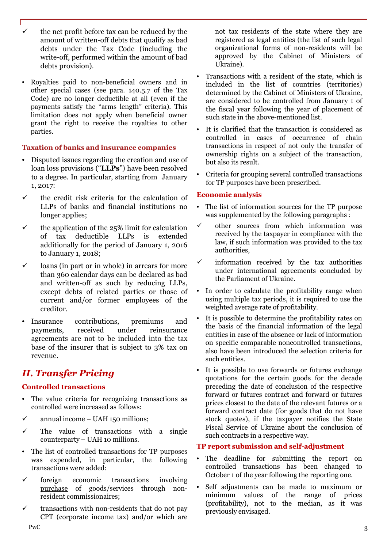- the net profit before tax can be reduced by the amount of written-off debts that qualify as bad debts under the Tax Code (including the write-off, performed within the amount of bad debts provision).
- Royalties paid to non-beneficial owners and in other special cases (see para. 140.5.7 of the Tax Code) are no longer deductible at all (even if the payments satisfy the "arms length" criteria). This limitation does not apply when beneficial owner grant the right to receive the royalties to other parties.

#### **Taxation of banks and insurance companies**

- Disputed issues regarding the creation and use of loan loss provisions ("**LLPs**") have been resolved to a degree. In particular, starting from January 1, 2017:
- $\checkmark$  the credit risk criteria for the calculation of LLPs of banks and financial institutions no longer applies;
- $\checkmark$  the application of the 25% limit for calculation of tax deductible LLPs is extended additionally for the period of January 1, 2016 to January 1, 2018;
- $\checkmark$  loans (in part or in whole) in arrears for more than 360 calendar days can be declared as bad and written-off as such by reducing LLPs, except debts of related parties or those of current and/or former employees of the creditor.
- Insurance contributions, premiums and payments, received under reinsurance agreements are not to be included into the tax base of the insurer that is subject to 3% tax on revenue.

### *II. Transfer Pricing*

#### **Controlled transactions**

- The value criteria for recognizing transactions as controlled were increased as follows:
- $\checkmark$  annual income UAH 150 millions;
- $\checkmark$  The value of transactions with a single counterparty – UAH 10 millions.
- The list of controlled transactions for TP purposes was expended, in particular, the following transactions were added:
- $\checkmark$  foreign economic transactions involving purchase of goods/services through nonresident commissionaires;
- $\checkmark$  transactions with non-residents that do not pay CPT (corporate income tax) and/or which are

not tax residents of the state where they are registered as legal entities (the list of such legal organizational forms of non-residents will be approved by the Cabinet of Ministers of Ukraine).

- Transactions with a resident of the state, which is included in the list of countries (territories) determined by the Cabinet of Ministers of Ukraine, are considered to be controlled from January 1 of the fiscal year following the year of placement of such state in the above-mentioned list.
- It is clarified that the transaction is considered as controlled in cases of occurrence of chain transactions in respect of not only the transfer of ownership rights on a subject of the transaction, but also its result.
- Criteria for grouping several controlled transactions for TP purposes have been prescribed.

#### **Economic analysis**

- The list of information sources for the TP purpose was supplemented by the following paragraphs :
- $\checkmark$  other sources from which information was received by the taxpayer in compliance with the law, if such information was provided to the tax authorities,
- information received by the tax authorities under international agreements concluded by the Parliament of Ukraine.
- In order to calculate the profitability range when using multiple tax periods, it is required to use the weighted average rate of profitability.
- It is possible to determine the profitability rates on the basis of the financial information of the legal entities in case of the absence or lack of information on specific comparable noncontrolled transactions, also have been introduced the selection criteria for such entities.
- It is possible to use forwards or futures exchange quotations for the certain goods for the decade preceding the date of conclusion of the respective forward or futures contract and forward or futures prices closest to the date of the relevant futures or a forward contract date (for goods that do not have stock quotes), if the taxpayer notifies the State Fiscal Service of Ukraine about the conclusion of such contracts in a respective way.

#### **TP report submission and self-adjustment**

- The deadline for submitting the report on controlled transactions has been changed to October 1 of the year following the reporting one.
- Self adjustments can be made to maximum or minimum values of the range of prices (profitability), not to the median, as it was previously envisaged.